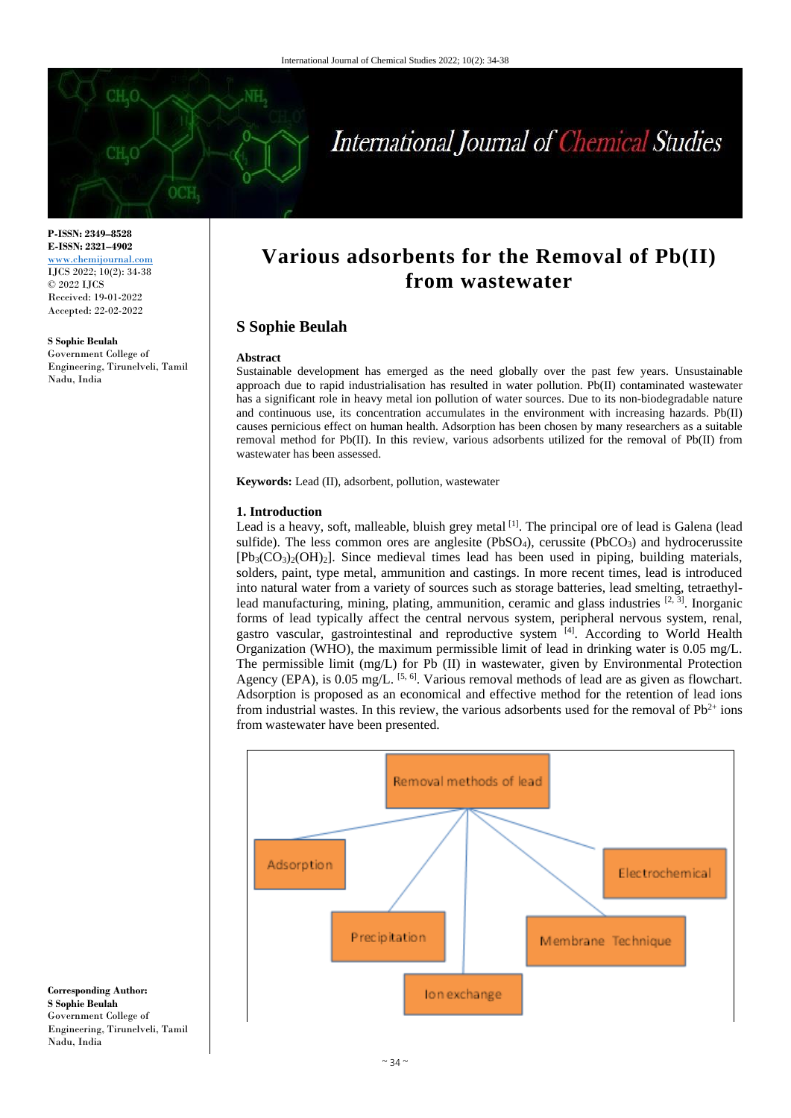

# International Journal of Chemical Studies

**P-ISSN: 2349–8528 E-ISSN: 2321–4902** <www.chemijournal.com> IJCS 2022; 10(2): 34-38 © 2022 IJCS Received: 19-01-2022 Accepted: 22-02-2022

**S Sophie Beulah** Government College of Engineering, Tirunelveli, Tamil Nadu, India

# **Various adsorbents for the Removal of Pb(II) from wastewater**

# **S Sophie Beulah**

#### **Abstract**

Sustainable development has emerged as the need globally over the past few years. Unsustainable approach due to rapid industrialisation has resulted in water pollution. Pb(II) contaminated wastewater has a significant role in heavy metal ion pollution of water sources. Due to its non-biodegradable nature and continuous use, its concentration accumulates in the environment with increasing hazards. Pb(II) causes pernicious effect on human health. Adsorption has been chosen by many researchers as a suitable removal method for Pb(II). In this review, various adsorbents utilized for the removal of Pb(II) from wastewater has been assessed.

**Keywords:** Lead (II), adsorbent, pollution, wastewater

#### **1. Introduction**

Lead is a heavy, soft, malleable, bluish grey metal [1]. The principal ore of lead is Galena (lead sulfide). The less common ores are anglesite (PbSO<sub>4</sub>), cerussite (PbCO<sub>3</sub>) and hydrocerussite  $[Pb<sub>3</sub>(CO<sub>3</sub>)<sub>2</sub>(OH)<sub>2</sub>]$ . Since medieval times lead has been used in piping, building materials, solders, paint, type metal, ammunition and castings. In more recent times, lead is introduced into natural water from a variety of sources such as storage batteries, lead smelting, tetraethyllead manufacturing, mining, plating, ammunition, ceramic and glass industries  $[2, 3]$ . Inorganic forms of lead typically affect the central nervous system, peripheral nervous system, renal, gastro vascular, gastrointestinal and reproductive system [4]. According to World Health Organization (WHO), the maximum permissible limit of lead in drinking water is 0.05 mg/L. The permissible limit (mg/L) for Pb (II) in wastewater, given by Environmental Protection Agency (EPA), is  $0.05$  mg/L. <sup>[5, 6]</sup>. Various removal methods of lead are as given as flowchart. Adsorption is proposed as an economical and effective method for the retention of lead ions from industrial wastes. In this review, the various adsorbents used for the removal of  $Pb^{2+}$  ions from wastewater have been presented.



**Corresponding Author: S Sophie Beulah** Government College of Engineering, Tirunelveli, Tamil Nadu, India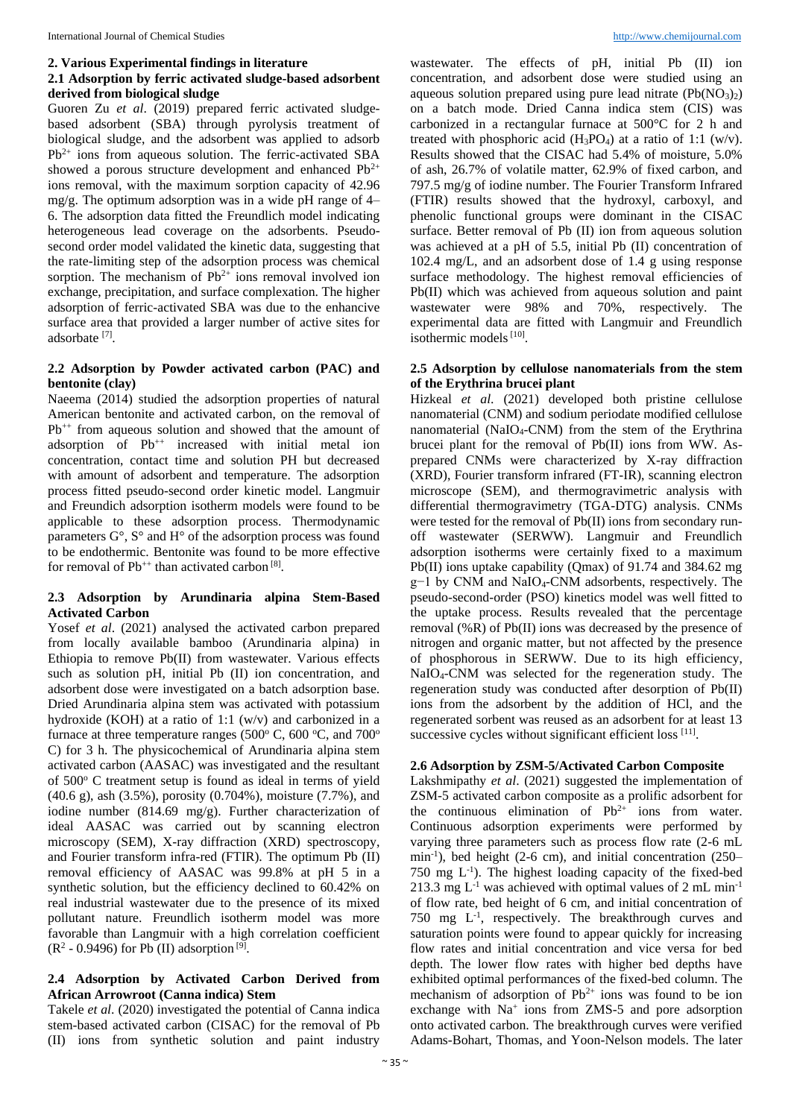#### **2. Various Experimental findings in literature**

#### **2.1 Adsorption by ferric activated sludge-based adsorbent derived from biological sludge**

Guoren Zu *et al*. (2019) prepared ferric activated sludgebased adsorbent (SBA) through pyrolysis treatment of biological sludge, and the adsorbent was applied to adsorb  $Pb^{2+}$  ions from aqueous solution. The ferric-activated SBA showed a porous structure development and enhanced  $Pb^{2+}$ ions removal, with the maximum sorption capacity of 42.96 mg/g. The optimum adsorption was in a wide pH range of 4– 6. The adsorption data fitted the Freundlich model indicating heterogeneous lead coverage on the adsorbents. Pseudosecond order model validated the kinetic data, suggesting that the rate-limiting step of the adsorption process was chemical sorption. The mechanism of  $Pb^{2+}$  ions removal involved ion exchange, precipitation, and surface complexation. The higher adsorption of ferric-activated SBA was due to the enhancive surface area that provided a larger number of active sites for adsorbate<sup>[7]</sup>.

#### **2.2 Adsorption by Powder activated carbon (PAC) and bentonite (clay)**

Naeema (2014) studied the adsorption properties of natural American bentonite and activated carbon, on the removal of  $Pb^{++}$  from aqueous solution and showed that the amount of adsorption of  $Pb^{++}$  increased with initial metal ion concentration, contact time and solution PH but decreased with amount of adsorbent and temperature. The adsorption process fitted pseudo-second order kinetic model. Langmuir and Freundich adsorption isotherm models were found to be applicable to these adsorption process. Thermodynamic parameters G°, S° and H° of the adsorption process was found to be endothermic. Bentonite was found to be more effective for removal of  $Pb^{++}$  than activated carbon<sup>[8]</sup>.

#### **2.3 Adsorption by Arundinaria alpina Stem-Based Activated Carbon**

Yosef *et al.* (2021) analysed the activated carbon prepared from locally available bamboo (Arundinaria alpina) in Ethiopia to remove Pb(II) from wastewater. Various effects such as solution pH, initial Pb (II) ion concentration, and adsorbent dose were investigated on a batch adsorption base. Dried Arundinaria alpina stem was activated with potassium hydroxide (KOH) at a ratio of 1:1 (w/v) and carbonized in a furnace at three temperature ranges (500 $^{\circ}$  C, 600 $^{\circ}$ C, and 700 $^{\circ}$ C) for 3 h. The physicochemical of Arundinaria alpina stem activated carbon (AASAC) was investigated and the resultant of 500 $^{\circ}$  C treatment setup is found as ideal in terms of yield (40.6 g), ash (3.5%), porosity (0.704%), moisture (7.7%), and iodine number (814.69 mg/g). Further characterization of ideal AASAC was carried out by scanning electron microscopy (SEM), X-ray diffraction (XRD) spectroscopy, and Fourier transform infra-red (FTIR). The optimum Pb (II) removal efficiency of AASAC was 99.8% at pH 5 in a synthetic solution, but the efficiency declined to 60.42% on real industrial wastewater due to the presence of its mixed pollutant nature. Freundlich isotherm model was more favorable than Langmuir with a high correlation coefficient  $(R<sup>2</sup> - 0.9496)$  for Pb (II) adsorption  $[9]$ .

#### **2.4 Adsorption by Activated Carbon Derived from African Arrowroot (Canna indica) Stem**

Takele *et al*. (2020) investigated the potential of Canna indica stem-based activated carbon (CISAC) for the removal of Pb (II) ions from synthetic solution and paint industry

wastewater. The effects of pH, initial Pb (II) ion concentration, and adsorbent dose were studied using an aqueous solution prepared using pure lead nitrate  $(Pb(NO<sub>3</sub>)<sub>2</sub>)$ on a batch mode. Dried Canna indica stem (CIS) was carbonized in a rectangular furnace at 500°C for 2 h and treated with phosphoric acid  $(H_3PO_4)$  at a ratio of 1:1 (w/v). Results showed that the CISAC had 5.4% of moisture, 5.0% of ash, 26.7% of volatile matter, 62.9% of fixed carbon, and 797.5 mg/g of iodine number. The Fourier Transform Infrared (FTIR) results showed that the hydroxyl, carboxyl, and phenolic functional groups were dominant in the CISAC surface. Better removal of Pb (II) ion from aqueous solution was achieved at a pH of 5.5, initial Pb (II) concentration of 102.4 mg/L, and an adsorbent dose of 1.4 g using response surface methodology. The highest removal efficiencies of Pb(II) which was achieved from aqueous solution and paint wastewater were 98% and 70%, respectively. The experimental data are fitted with Langmuir and Freundlich isothermic models<sup>[10]</sup>.

#### **2.5 Adsorption by cellulose nanomaterials from the stem of the Erythrina brucei plant**

Hizkeal *et al*. (2021) developed both pristine cellulose nanomaterial (CNM) and sodium periodate modified cellulose nanomaterial (NaIO4-CNM) from the stem of the Erythrina brucei plant for the removal of Pb(II) ions from WW. Asprepared CNMs were characterized by X-ray diffraction (XRD), Fourier transform infrared (FT-IR), scanning electron microscope (SEM), and thermogravimetric analysis with differential thermogravimetry (TGA-DTG) analysis. CNMs were tested for the removal of Pb(II) ions from secondary runoff wastewater (SERWW). Langmuir and Freundlich adsorption isotherms were certainly fixed to a maximum Pb(II) ions uptake capability (Qmax) of 91.74 and 384.62 mg g−1 by CNM and NaIO4-CNM adsorbents, respectively. The pseudo-second-order (PSO) kinetics model was well fitted to the uptake process. Results revealed that the percentage removal (%R) of Pb(II) ions was decreased by the presence of nitrogen and organic matter, but not affected by the presence of phosphorous in SERWW. Due to its high efficiency, NaIO4-CNM was selected for the regeneration study. The regeneration study was conducted after desorption of Pb(II) ions from the adsorbent by the addition of HCl, and the regenerated sorbent was reused as an adsorbent for at least 13 successive cycles without significant efficient loss [11].

#### **2.6 Adsorption by ZSM-5/Activated Carbon Composite**

Lakshmipathy *et al*. (2021) suggested the implementation of ZSM-5 activated carbon composite as a prolific adsorbent for the continuous elimination of  $Pb^{2+}$  ions from water. Continuous adsorption experiments were performed by varying three parameters such as process flow rate (2-6 mL min<sup>-1</sup>), bed height (2-6 cm), and initial concentration (250– 750 mg L-1 ). The highest loading capacity of the fixed-bed 213.3 mg  $L^{-1}$  was achieved with optimal values of 2 mL min<sup>-1</sup> of flow rate, bed height of 6 cm, and initial concentration of 750 mg L-1 , respectively. The breakthrough curves and saturation points were found to appear quickly for increasing flow rates and initial concentration and vice versa for bed depth. The lower flow rates with higher bed depths have exhibited optimal performances of the fixed-bed column. The mechanism of adsorption of  $Pb^{2+}$  ions was found to be ion exchange with Na<sup>+</sup> ions from ZMS-5 and pore adsorption onto activated carbon. The breakthrough curves were verified Adams-Bohart, Thomas, and Yoon-Nelson models. The later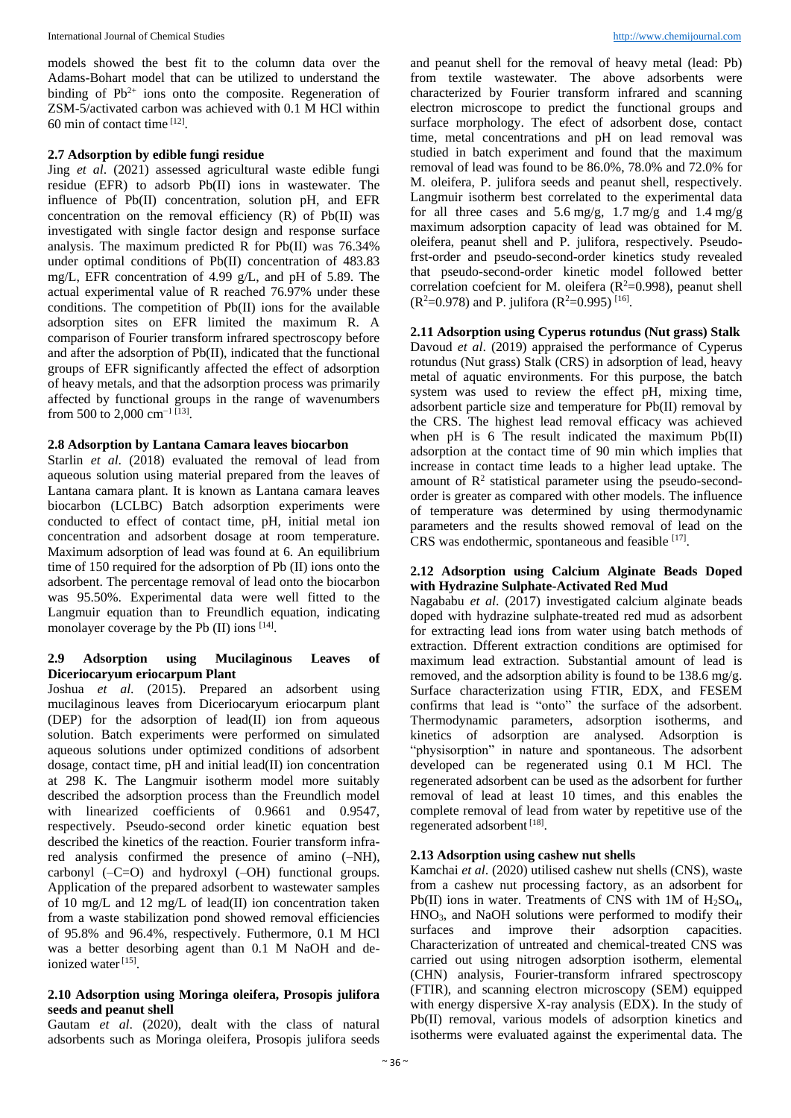models showed the best fit to the column data over the Adams-Bohart model that can be utilized to understand the binding of  $Pb^{2+}$  ions onto the composite. Regeneration of ZSM-5/activated carbon was achieved with 0.1 M HCl within 60 min of contact time [12] .

#### **2.7 Adsorption by edible fungi residue**

Jing *et al*. (2021) assessed agricultural waste edible fungi residue (EFR) to adsorb Pb(II) ions in wastewater. The influence of Pb(II) concentration, solution pH, and EFR concentration on the removal efficiency  $(R)$  of Pb $(II)$  was investigated with single factor design and response surface analysis. The maximum predicted R for Pb(II) was 76.34% under optimal conditions of Pb(II) concentration of 483.83 mg/L, EFR concentration of 4.99 g/L, and pH of 5.89. The actual experimental value of R reached 76.97% under these conditions. The competition of Pb(II) ions for the available adsorption sites on EFR limited the maximum R. A comparison of Fourier transform infrared spectroscopy before and after the adsorption of Pb(II), indicated that the functional groups of EFR significantly affected the effect of adsorption of heavy metals, and that the adsorption process was primarily affected by functional groups in the range of wavenumbers from 500 to 2,000 cm<sup>-1 [13]</sup>.

#### **2.8 Adsorption by Lantana Camara leaves biocarbon**

Starlin *et al*. (2018) evaluated the removal of lead from aqueous solution using material prepared from the leaves of Lantana camara plant. It is known as Lantana camara leaves biocarbon (LCLBC) Batch adsorption experiments were conducted to effect of contact time, pH, initial metal ion concentration and adsorbent dosage at room temperature. Maximum adsorption of lead was found at 6. An equilibrium time of 150 required for the adsorption of Pb (II) ions onto the adsorbent. The percentage removal of lead onto the biocarbon was 95.50%. Experimental data were well fitted to the Langmuir equation than to Freundlich equation, indicating monolayer coverage by the Pb (II) ions [14].

#### **2.9 Adsorption using Mucilaginous Leaves of Diceriocaryum eriocarpum Plant**

Joshua *et al*. (2015). Prepared an adsorbent using mucilaginous leaves from Diceriocaryum eriocarpum plant (DEP) for the adsorption of lead(II) ion from aqueous solution. Batch experiments were performed on simulated aqueous solutions under optimized conditions of adsorbent dosage, contact time, pH and initial lead(II) ion concentration at 298 K. The Langmuir isotherm model more suitably described the adsorption process than the Freundlich model with linearized coefficients of 0.9661 and 0.9547, respectively. Pseudo-second order kinetic equation best described the kinetics of the reaction. Fourier transform infrared analysis confirmed the presence of amino (–NH), carbonyl  $(-C=0)$  and hydroxyl  $(-OH)$  functional groups. Application of the prepared adsorbent to wastewater samples of 10 mg/L and 12 mg/L of lead(II) ion concentration taken from a waste stabilization pond showed removal efficiencies of 95.8% and 96.4%, respectively. Futhermore, 0.1 M HCl was a better desorbing agent than 0.1 M NaOH and deionized water<sup>[15]</sup>.

#### **2.10 Adsorption using Moringa oleifera, Prosopis julifora seeds and peanut shell**

Gautam *et al*. (2020), dealt with the class of natural adsorbents such as Moringa oleifera, Prosopis julifora seeds

and peanut shell for the removal of heavy metal (lead: Pb) from textile wastewater. The above adsorbents were characterized by Fourier transform infrared and scanning electron microscope to predict the functional groups and surface morphology. The efect of adsorbent dose, contact time, metal concentrations and pH on lead removal was studied in batch experiment and found that the maximum removal of lead was found to be 86.0%, 78.0% and 72.0% for M. oleifera, P. julifora seeds and peanut shell, respectively. Langmuir isotherm best correlated to the experimental data for all three cases and  $5.6 \text{ mg/g}$ ,  $1.7 \text{ mg/g}$  and  $1.4 \text{ mg/g}$ maximum adsorption capacity of lead was obtained for M. oleifera, peanut shell and P. julifora, respectively. Pseudofrst-order and pseudo-second-order kinetics study revealed that pseudo-second-order kinetic model followed better correlation coefcient for M. oleifera ( $R^2=0.998$ ), peanut shell  $(R^2=0.978)$  and P. julifora  $(R^2=0.995)$ <sup>[16]</sup>.

#### **2.11 Adsorption using Cyperus rotundus (Nut grass) Stalk**

Davoud *et al*. (2019) appraised the performance of Cyperus rotundus (Nut grass) Stalk (CRS) in adsorption of lead, heavy metal of aquatic environments. For this purpose, the batch system was used to review the effect pH, mixing time, adsorbent particle size and temperature for Pb(II) removal by the CRS. The highest lead removal efficacy was achieved when pH is 6 The result indicated the maximum Pb(II) adsorption at the contact time of 90 min which implies that increase in contact time leads to a higher lead uptake. The amount of  $\mathbb{R}^2$  statistical parameter using the pseudo-secondorder is greater as compared with other models. The influence of temperature was determined by using thermodynamic parameters and the results showed removal of lead on the CRS was endothermic, spontaneous and feasible [17].

#### **2.12 Adsorption using Calcium Alginate Beads Doped with Hydrazine Sulphate-Activated Red Mud**

Nagababu *et al*. (2017) investigated calcium alginate beads doped with hydrazine sulphate-treated red mud as adsorbent for extracting lead ions from water using batch methods of extraction. Dfferent extraction conditions are optimised for maximum lead extraction. Substantial amount of lead is removed, and the adsorption ability is found to be 138.6 mg/g. Surface characterization using FTIR, EDX, and FESEM confirms that lead is "onto" the surface of the adsorbent. Thermodynamic parameters, adsorption isotherms, and kinetics of adsorption are analysed. Adsorption is "physisorption" in nature and spontaneous. The adsorbent developed can be regenerated using 0.1 M HCl. The regenerated adsorbent can be used as the adsorbent for further removal of lead at least 10 times, and this enables the complete removal of lead from water by repetitive use of the regenerated adsorbent [18].

#### **2.13 Adsorption using cashew nut shells**

Kamchai *et al*. (2020) utilised cashew nut shells (CNS), waste from a cashew nut processing factory, as an adsorbent for Pb(II) ions in water. Treatments of CNS with  $1M$  of  $H_2SO_4$ , HNO3, and NaOH solutions were performed to modify their surfaces and improve their adsorption capacities. Characterization of untreated and chemical-treated CNS was carried out using nitrogen adsorption isotherm, elemental (CHN) analysis, Fourier-transform infrared spectroscopy (FTIR), and scanning electron microscopy (SEM) equipped with energy dispersive X-ray analysis (EDX). In the study of Pb(II) removal, various models of adsorption kinetics and isotherms were evaluated against the experimental data. The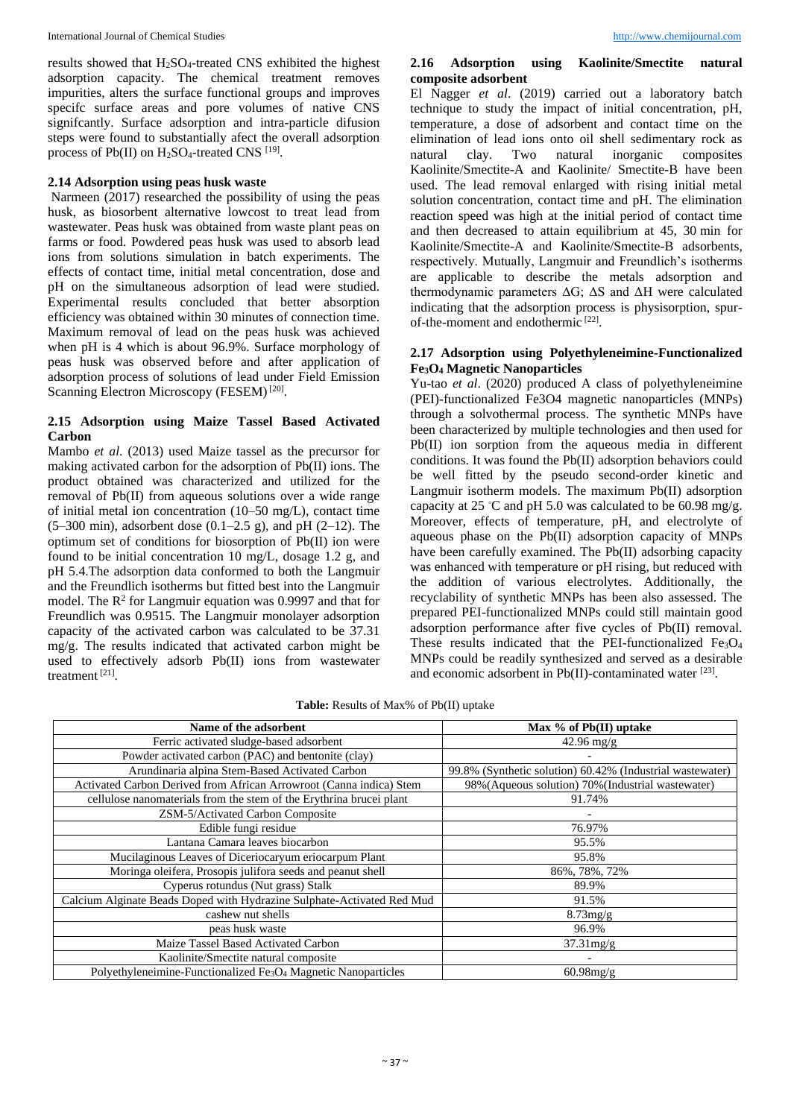results showed that H2SO4-treated CNS exhibited the highest adsorption capacity. The chemical treatment removes impurities, alters the surface functional groups and improves specifc surface areas and pore volumes of native CNS signifcantly. Surface adsorption and intra-particle difusion steps were found to substantially afect the overall adsorption process of Pb(II) on  $H_2SO_4$ -treated CNS  $^{[19]}$ .

#### **2.14 Adsorption using peas husk waste**

Narmeen (2017) researched the possibility of using the peas husk, as biosorbent alternative lowcost to treat lead from wastewater. Peas husk was obtained from waste plant peas on farms or food. Powdered peas husk was used to absorb lead ions from solutions simulation in batch experiments. The effects of contact time, initial metal concentration, dose and pH on the simultaneous adsorption of lead were studied. Experimental results concluded that better absorption efficiency was obtained within 30 minutes of connection time. Maximum removal of lead on the peas husk was achieved when pH is 4 which is about 96.9%. Surface morphology of peas husk was observed before and after application of adsorption process of solutions of lead under Field Emission Scanning Electron Microscopy (FESEM)<sup>[20]</sup>.

#### **2.15 Adsorption using Maize Tassel Based Activated Carbon**

Mambo *et al*. (2013) used Maize tassel as the precursor for making activated carbon for the adsorption of Pb(II) ions. The product obtained was characterized and utilized for the removal of Pb(II) from aqueous solutions over a wide range of initial metal ion concentration (10–50 mg/L), contact time  $(5-300 \text{ min})$ , adsorbent dose  $(0.1-2.5 \text{ g})$ , and pH  $(2-12)$ . The optimum set of conditions for biosorption of Pb(II) ion were found to be initial concentration 10 mg/L, dosage 1.2 g, and pH 5.4.The adsorption data conformed to both the Langmuir and the Freundlich isotherms but fitted best into the Langmuir model. The  $\mathbb{R}^2$  for Langmuir equation was 0.9997 and that for Freundlich was 0.9515. The Langmuir monolayer adsorption capacity of the activated carbon was calculated to be 37.31 mg/g. The results indicated that activated carbon might be used to effectively adsorb Pb(II) ions from wastewater treatment [21] .

## **2.16 Adsorption using Kaolinite/Smectite natural composite adsorbent**

El Nagger *et al*. (2019) carried out a laboratory batch technique to study the impact of initial concentration, pH, temperature, a dose of adsorbent and contact time on the elimination of lead ions onto oil shell sedimentary rock as natural clay. Two natural inorganic composites Kaolinite/Smectite-A and Kaolinite/ Smectite-B have been used. The lead removal enlarged with rising initial metal solution concentration, contact time and pH. The elimination reaction speed was high at the initial period of contact time and then decreased to attain equilibrium at 45, 30 min for Kaolinite/Smectite-A and Kaolinite/Smectite-B adsorbents, respectively. Mutually, Langmuir and Freundlich's isotherms are applicable to describe the metals adsorption and thermodynamic parameters ΔG; ΔS and ΔH were calculated indicating that the adsorption process is physisorption, spurof-the-moment and endothermic [22].

# **2.17 Adsorption using Polyethyleneimine-Functionalized Fe3O<sup>4</sup> Magnetic Nanoparticles**

Yu-tao *et al*. (2020) produced A class of polyethyleneimine (PEI)-functionalized Fe3O4 magnetic nanoparticles (MNPs) through a solvothermal process. The synthetic MNPs have been characterized by multiple technologies and then used for Pb(II) ion sorption from the aqueous media in different conditions. It was found the Pb(II) adsorption behaviors could be well fitted by the pseudo second-order kinetic and Langmuir isotherm models. The maximum Pb(II) adsorption capacity at 25 °C and pH 5.0 was calculated to be 60.98 mg/g. Moreover, effects of temperature, pH, and electrolyte of aqueous phase on the  $Pb(II)$  adsorption capacity of MNPs have been carefully examined. The Pb(II) adsorbing capacity was enhanced with temperature or pH rising, but reduced with the addition of various electrolytes. Additionally, the recyclability of synthetic MNPs has been also assessed. The prepared PEI-functionalized MNPs could still maintain good adsorption performance after five cycles of Pb(II) removal. These results indicated that the PEI-functionalized  $Fe<sub>3</sub>O<sub>4</sub>$ MNPs could be readily synthesized and served as a desirable and economic adsorbent in  $Pb(II)$ -contaminated water [23].

| <b>Table:</b> Results of Max% of Pb(II) uptake |  |
|------------------------------------------------|--|
|------------------------------------------------|--|

| Name of the adsorbent                                                                  | Max % of Pb(II) uptake                                    |
|----------------------------------------------------------------------------------------|-----------------------------------------------------------|
| Ferric activated sludge-based adsorbent                                                | $42.96 \,\mathrm{mg/g}$                                   |
| Powder activated carbon (PAC) and bentonite (clay)                                     |                                                           |
| Arundinaria alpina Stem-Based Activated Carbon                                         | 99.8% (Synthetic solution) 60.42% (Industrial wastewater) |
| Activated Carbon Derived from African Arrowroot (Canna indica) Stem                    | 98% (Aqueous solution) 70% (Industrial wastewater)        |
| cellulose nanomaterials from the stem of the Erythrina brucei plant                    | 91.74%                                                    |
| ZSM-5/Activated Carbon Composite                                                       |                                                           |
| Edible fungi residue                                                                   | 76.97%                                                    |
| Lantana Camara leaves biocarbon                                                        | 95.5%                                                     |
| Mucilaginous Leaves of Diceriocaryum eriocarpum Plant                                  | 95.8%                                                     |
| Moringa oleifera, Prosopis julifora seeds and peanut shell                             | 86%, 78%, 72%                                             |
| Cyperus rotundus (Nut grass) Stalk                                                     | 89.9%                                                     |
| Calcium Alginate Beads Doped with Hydrazine Sulphate-Activated Red Mud                 | 91.5%                                                     |
| cashew nut shells                                                                      | $8.73$ mg/g                                               |
| peas husk waste                                                                        | 96.9%                                                     |
| Maize Tassel Based Activated Carbon                                                    | $37.31$ mg/g                                              |
| Kaolinite/Smectite natural composite                                                   |                                                           |
| Polyethyleneimine-Functionalized Fe <sub>3</sub> O <sub>4</sub> Magnetic Nanoparticles | $60.98$ mg/g                                              |